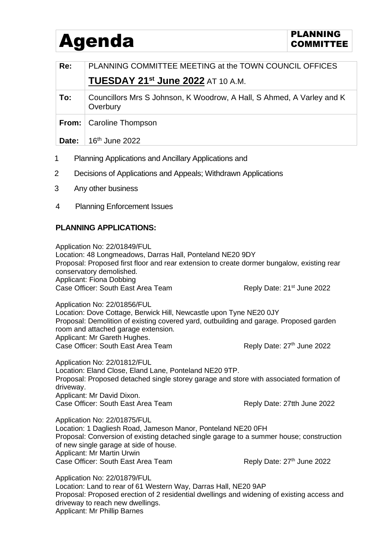## Agenda **PLANNING** PLANNING

| Re:   | PLANNING COMMITTEE MEETING at the TOWN COUNCIL OFFICES                            |
|-------|-----------------------------------------------------------------------------------|
|       | <b>TUESDAY 21st June 2022 AT 10 A.M.</b>                                          |
| To:   | Councillors Mrs S Johnson, K Woodrow, A Hall, S Ahmed, A Varley and K<br>Overbury |
|       | <b>From:</b>   Caroline Thompson                                                  |
| Date: | $16th$ June 2022                                                                  |

- 
- 2 Decisions of Applications and Appeals; Withdrawn Applications
- 3 Any other business
- 4 Planning Enforcement Issues

## **PLANNING APPLICATIONS:**

Application No: 22/01849/FUL Location: 48 Longmeadows, Darras Hall, Ponteland NE20 9DY Proposal: Proposed first floor and rear extension to create dormer bungalow, existing rear conservatory demolished. Applicant: Fiona Dobbing Case Officer: South East Area Team Reply Date: 21<sup>st</sup> June 2022

Application No: 22/01856/FUL

Location: Dove Cottage, Berwick Hill, Newcastle upon Tyne NE20 0JY Proposal: Demolition of existing covered yard, outbuilding and garage. Proposed garden room and attached garage extension. Applicant: Mr Gareth Hughes. Case Officer: South East Area Team Reply Date: 27<sup>th</sup> June 2022

Application No: 22/01812/FUL Location: Eland Close, Eland Lane, Ponteland NE20 9TP. Proposal: Proposed detached single storey garage and store with associated formation of driveway. Applicant: Mr David Dixon. Case Officer: South East Area Team Reply Date: 27tth June 2022

Application No: 22/01875/FUL Location: 1 Dagliesh Road, Jameson Manor, Ponteland NE20 0FH Proposal: Conversion of existing detached single garage to a summer house; construction of new single garage at side of house. Applicant: Mr Martin Urwin Case Officer: South East Area Team Reply Date: 27<sup>th</sup> June 2022

Application No: 22/01879/FUL Location: Land to rear of 61 Western Way, Darras Hall, NE20 9AP Proposal: Proposed erection of 2 residential dwellings and widening of existing access and driveway to reach new dwellings. Applicant: Mr Phillip Barnes